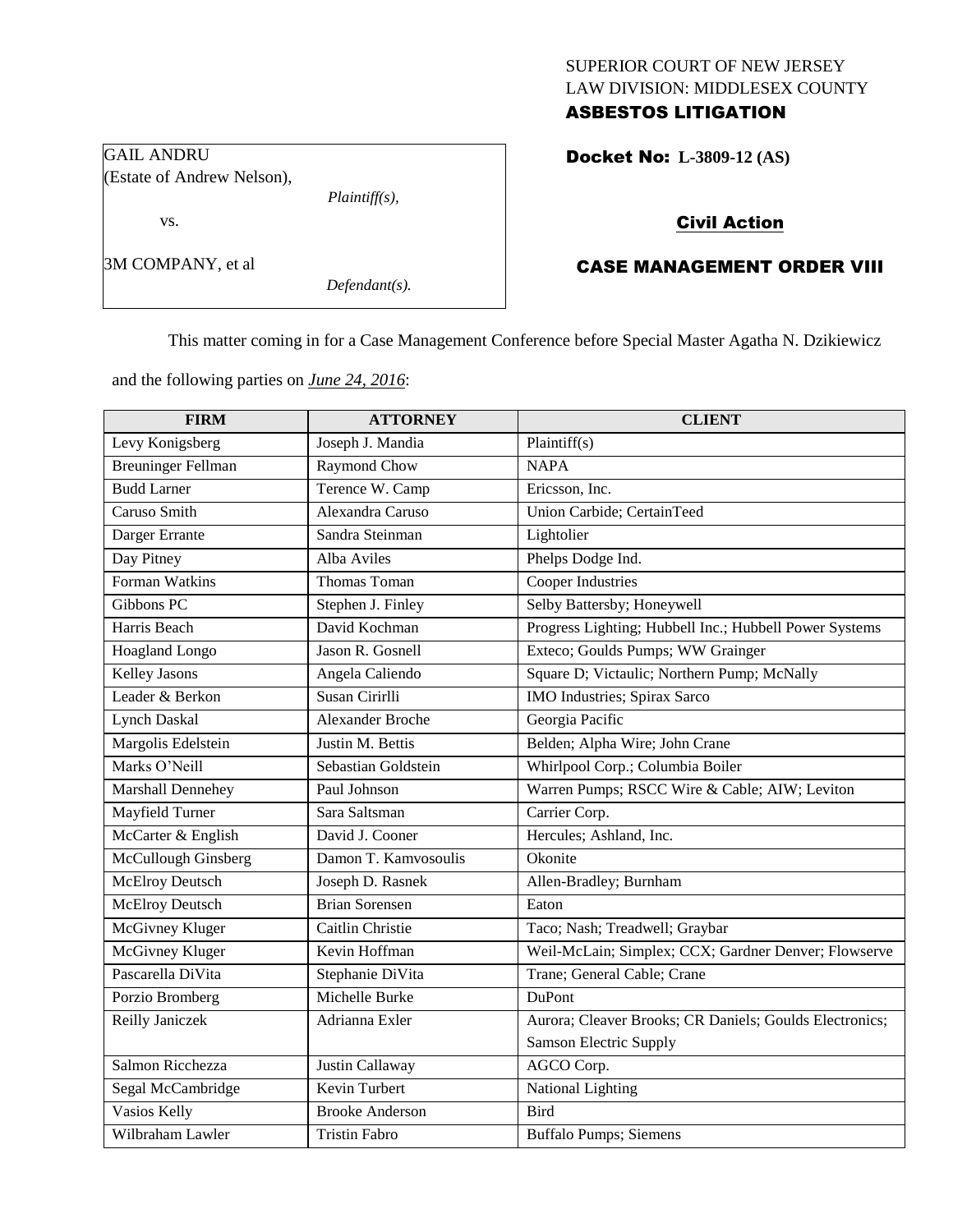# SUPERIOR COURT OF NEW JERSEY LAW DIVISION: MIDDLESEX COUNTY

# ASBESTOS LITIGATION

GAIL ANDRU (Estate of Andrew Nelson),

*Plaintiff(s),*

3M COMPANY, et al

vs.

*Defendant(s).*

Docket No: **L-3809-12 (AS)** 

# Civil Action

# CASE MANAGEMENT ORDER VIII

This matter coming in for a Case Management Conference before Special Master Agatha N. Dzikiewicz

and the following parties on *June 24, 2016*:

| <b>FIRM</b>               | <b>ATTORNEY</b>        | <b>CLIENT</b>                                           |
|---------------------------|------------------------|---------------------------------------------------------|
| Levy Konigsberg           | Joseph J. Mandia       | Plaintiff(s)                                            |
| <b>Breuninger Fellman</b> | <b>Raymond Chow</b>    | <b>NAPA</b>                                             |
| <b>Budd Larner</b>        | Terence W. Camp        | Ericsson, Inc.                                          |
| Caruso Smith              | Alexandra Caruso       | Union Carbide; CertainTeed                              |
| Darger Errante            | Sandra Steinman        | Lightolier                                              |
| Day Pitney                | Alba Aviles            | Phelps Dodge Ind.                                       |
| Forman Watkins            | Thomas Toman           | <b>Cooper Industries</b>                                |
| Gibbons PC                | Stephen J. Finley      | Selby Battersby; Honeywell                              |
| Harris Beach              | David Kochman          | Progress Lighting; Hubbell Inc.; Hubbell Power Systems  |
| Hoagland Longo            | Jason R. Gosnell       | Exteco; Goulds Pumps; WW Grainger                       |
| <b>Kelley Jasons</b>      | Angela Caliendo        | Square D; Victaulic; Northern Pump; McNally             |
| Leader & Berkon           | Susan Cirirlli         | IMO Industries; Spirax Sarco                            |
| <b>Lynch Daskal</b>       | Alexander Broche       | Georgia Pacific                                         |
| Margolis Edelstein        | Justin M. Bettis       | Belden; Alpha Wire; John Crane                          |
| Marks O'Neill             | Sebastian Goldstein    | Whirlpool Corp.; Columbia Boiler                        |
| Marshall Dennehey         | Paul Johnson           | Warren Pumps; RSCC Wire & Cable; AIW; Leviton           |
| <b>Mayfield Turner</b>    | Sara Saltsman          | Carrier Corp.                                           |
| McCarter & English        | David J. Cooner        | Hercules; Ashland, Inc.                                 |
| McCullough Ginsberg       | Damon T. Kamvosoulis   | Okonite                                                 |
| <b>McElroy Deutsch</b>    | Joseph D. Rasnek       | Allen-Bradley; Burnham                                  |
| McElroy Deutsch           | <b>Brian Sorensen</b>  | Eaton                                                   |
| McGivney Kluger           | Caitlin Christie       | Taco; Nash; Treadwell; Graybar                          |
| McGivney Kluger           | Kevin Hoffman          | Weil-McLain; Simplex; CCX; Gardner Denver; Flowserve    |
| Pascarella DiVita         | Stephanie DiVita       | Trane; General Cable; Crane                             |
| Porzio Bromberg           | Michelle Burke         | DuPont                                                  |
| Reilly Janiczek           | Adrianna Exler         | Aurora; Cleaver Brooks; CR Daniels; Goulds Electronics; |
|                           |                        | <b>Samson Electric Supply</b>                           |
| Salmon Ricchezza          | Justin Callaway        | AGCO Corp.                                              |
| Segal McCambridge         | Kevin Turbert          | <b>National Lighting</b>                                |
| Vasios Kelly              | <b>Brooke Anderson</b> | <b>Bird</b>                                             |
| Wilbraham Lawler          | <b>Tristin Fabro</b>   | <b>Buffalo Pumps; Siemens</b>                           |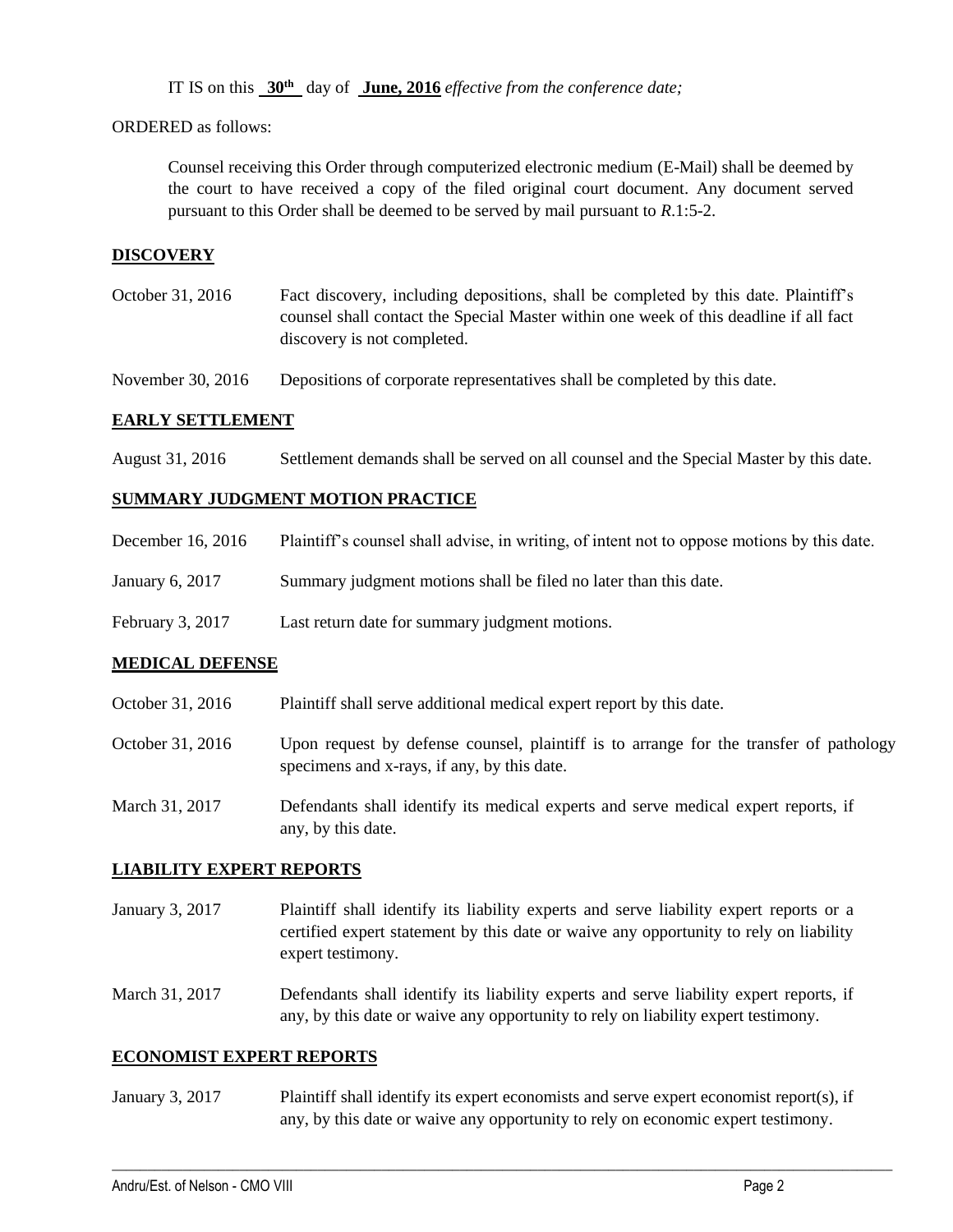IT IS on this **30th** day of **June, 2016** *effective from the conference date;*

ORDERED as follows:

Counsel receiving this Order through computerized electronic medium (E-Mail) shall be deemed by the court to have received a copy of the filed original court document. Any document served pursuant to this Order shall be deemed to be served by mail pursuant to *R*.1:5-2.

#### **DISCOVERY**

October 31, 2016 Fact discovery, including depositions, shall be completed by this date. Plaintiff's counsel shall contact the Special Master within one week of this deadline if all fact discovery is not completed.

November 30, 2016 Depositions of corporate representatives shall be completed by this date.

#### **EARLY SETTLEMENT**

August 31, 2016 Settlement demands shall be served on all counsel and the Special Master by this date.

## **SUMMARY JUDGMENT MOTION PRACTICE**

- December 16, 2016 Plaintiff's counsel shall advise, in writing, of intent not to oppose motions by this date.
- January 6, 2017 Summary judgment motions shall be filed no later than this date.
- February 3, 2017 Last return date for summary judgment motions.

#### **MEDICAL DEFENSE**

- October 31, 2016 Plaintiff shall serve additional medical expert report by this date.
- October 31, 2016 Upon request by defense counsel, plaintiff is to arrange for the transfer of pathology specimens and x-rays, if any, by this date.
- March 31, 2017 Defendants shall identify its medical experts and serve medical expert reports, if any, by this date.

#### **LIABILITY EXPERT REPORTS**

January 3, 2017 Plaintiff shall identify its liability experts and serve liability expert reports or a certified expert statement by this date or waive any opportunity to rely on liability expert testimony.

March 31, 2017 Defendants shall identify its liability experts and serve liability expert reports, if any, by this date or waive any opportunity to rely on liability expert testimony.

#### **ECONOMIST EXPERT REPORTS**

January 3, 2017 Plaintiff shall identify its expert economists and serve expert economist report(s), if any, by this date or waive any opportunity to rely on economic expert testimony.

 $\mathcal{L}_\mathcal{L} = \{ \mathcal{L}_\mathcal{L} = \{ \mathcal{L}_\mathcal{L} = \{ \mathcal{L}_\mathcal{L} = \{ \mathcal{L}_\mathcal{L} = \{ \mathcal{L}_\mathcal{L} = \{ \mathcal{L}_\mathcal{L} = \{ \mathcal{L}_\mathcal{L} = \{ \mathcal{L}_\mathcal{L} = \{ \mathcal{L}_\mathcal{L} = \{ \mathcal{L}_\mathcal{L} = \{ \mathcal{L}_\mathcal{L} = \{ \mathcal{L}_\mathcal{L} = \{ \mathcal{L}_\mathcal{L} = \{ \mathcal{L}_\mathcal{$